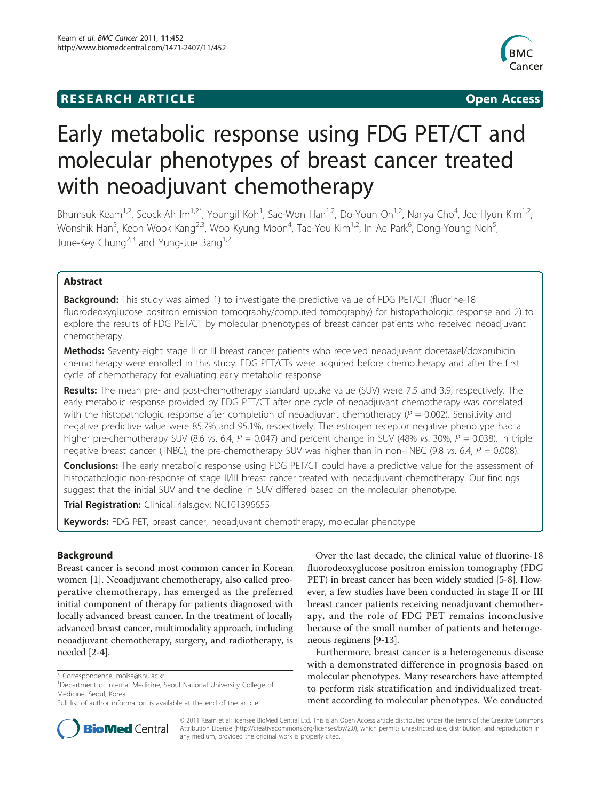# **RESEARCH ARTICLE Example 2018 12:00 Open Access**



# Early metabolic response using FDG PET/CT and molecular phenotypes of breast cancer treated with neoadjuvant chemotherapy

Bhumsuk Keam<sup>1,2</sup>, Seock-Ah Im<sup>1,2\*</sup>, Youngil Koh<sup>1</sup>, Sae-Won Han<sup>1,2</sup>, Do-Youn Oh<sup>1,2</sup>, Nariya Cho<sup>4</sup>, Jee Hyun Kim<sup>1,2</sup>, Wonshik Han<sup>5</sup>, Keon Wook Kang<sup>2,3</sup>, Woo Kyung Moon<sup>4</sup>, Tae-You Kim<sup>1,2</sup>, In Ae Park<sup>6</sup>, Dong-Young Noh<sup>5</sup> , June-Key Chung<sup>2,3</sup> and Yung-Jue Bang<sup>1,2</sup>

# Abstract

Background: This study was aimed 1) to investigate the predictive value of FDG PET/CT (fluorine-18 fluorodeoxyglucose positron emission tomography/computed tomography) for histopathologic response and 2) to explore the results of FDG PET/CT by molecular phenotypes of breast cancer patients who received neoadjuvant chemotherapy.

Methods: Seventy-eight stage II or III breast cancer patients who received neoadjuvant docetaxel/doxorubicin chemotherapy were enrolled in this study. FDG PET/CTs were acquired before chemotherapy and after the first cycle of chemotherapy for evaluating early metabolic response.

Results: The mean pre- and post-chemotherapy standard uptake value (SUV) were 7.5 and 3.9, respectively. The early metabolic response provided by FDG PET/CT after one cycle of neoadjuvant chemotherapy was correlated with the histopathologic response after completion of neoadjuvant chemotherapy ( $P = 0.002$ ). Sensitivity and negative predictive value were 85.7% and 95.1%, respectively. The estrogen receptor negative phenotype had a higher pre-chemotherapy SUV (8.6 vs. 6.4,  $P = 0.047$ ) and percent change in SUV (48% vs. 30%,  $P = 0.038$ ). In triple negative breast cancer (TNBC), the pre-chemotherapy SUV was higher than in non-TNBC (9.8 vs. 6.4,  $P = 0.008$ ).

Conclusions: The early metabolic response using FDG PET/CT could have a predictive value for the assessment of histopathologic non-response of stage II/III breast cancer treated with neoadjuvant chemotherapy. Our findings suggest that the initial SUV and the decline in SUV differed based on the molecular phenotype.

Trial Registration: ClinicalTrials.gov: [NCT01396655](http://www.clinicaltrials.gov/ct2/show/NCT01396655)

Keywords: FDG PET, breast cancer, neoadjuvant chemotherapy, molecular phenotype

# Background

Breast cancer is second most common cancer in Korean women [[1\]](#page-7-0). Neoadjuvant chemotherapy, also called preoperative chemotherapy, has emerged as the preferred initial component of therapy for patients diagnosed with locally advanced breast cancer. In the treatment of locally advanced breast cancer, multimodality approach, including neoadjuvant chemotherapy, surgery, and radiotherapy, is needed [[2-4\]](#page-7-0).

Over the last decade, the clinical value of fluorine-18 fluorodeoxyglucose positron emission tomography (FDG PET) in breast cancer has been widely studied [[5-8\]](#page-7-0). However, a few studies have been conducted in stage II or III breast cancer patients receiving neoadjuvant chemotherapy, and the role of FDG PET remains inconclusive because of the small number of patients and heterogeneous regimens [[9-13\]](#page-7-0).

Furthermore, breast cancer is a heterogeneous disease with a demonstrated difference in prognosis based on molecular phenotypes. Many researchers have attempted to perform risk stratification and individualized treatment according to molecular phenotypes. We conducted



© 2011 Keam et al; licensee BioMed Central Ltd. This is an Open Access article distributed under the terms of the Creative Commons Attribution License [\(http://creativecommons.org/licenses/by/2.0](http://creativecommons.org/licenses/by/2.0)), which permits unrestricted use, distribution, and reproduction in any medium, provided the original work is properly cited.

<sup>\*</sup> Correspondence: [moisa@snu.ac.kr](mailto:moisa@snu.ac.kr)

<sup>&</sup>lt;sup>1</sup>Department of Internal Medicine, Seoul National University College of Medicine, Seoul, Korea

Full list of author information is available at the end of the article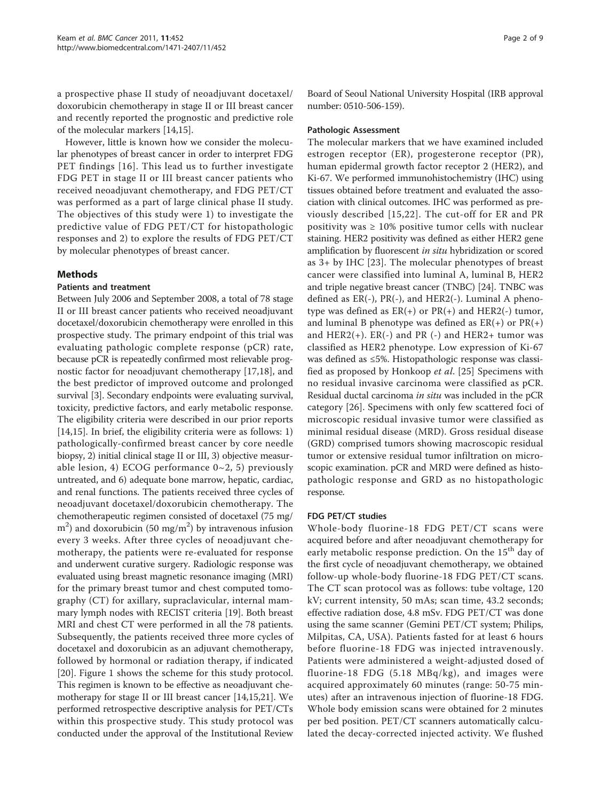a prospective phase II study of neoadjuvant docetaxel/ doxorubicin chemotherapy in stage II or III breast cancer and recently reported the prognostic and predictive role of the molecular markers [[14,15](#page-7-0)].

However, little is known how we consider the molecular phenotypes of breast cancer in order to interpret FDG PET findings [[16](#page-8-0)]. This lead us to further investigate FDG PET in stage II or III breast cancer patients who received neoadjuvant chemotherapy, and FDG PET/CT was performed as a part of large clinical phase II study. The objectives of this study were 1) to investigate the predictive value of FDG PET/CT for histopathologic responses and 2) to explore the results of FDG PET/CT by molecular phenotypes of breast cancer.

# Methods

# Patients and treatment

Between July 2006 and September 2008, a total of 78 stage II or III breast cancer patients who received neoadjuvant docetaxel/doxorubicin chemotherapy were enrolled in this prospective study. The primary endpoint of this trial was evaluating pathologic complete response (pCR) rate, because pCR is repeatedly confirmed most relievable prognostic factor for neoadjuvant chemotherapy [[17,18\]](#page-8-0), and the best predictor of improved outcome and prolonged survival [\[3](#page-7-0)]. Secondary endpoints were evaluating survival, toxicity, predictive factors, and early metabolic response. The eligibility criteria were described in our prior reports [[14,15\]](#page-7-0). In brief, the eligibility criteria were as follows: 1) pathologically-confirmed breast cancer by core needle biopsy, 2) initial clinical stage II or III, 3) objective measurable lesion, 4) ECOG performance  $0~2$ , 5) previously untreated, and 6) adequate bone marrow, hepatic, cardiac, and renal functions. The patients received three cycles of neoadjuvant docetaxel/doxorubicin chemotherapy. The chemotherapeutic regimen consisted of docetaxel (75 mg/  $\text{m}^2$ ) and doxorubicin (50 mg/m<sup>2</sup>) by intravenous infusion every 3 weeks. After three cycles of neoadjuvant chemotherapy, the patients were re-evaluated for response and underwent curative surgery. Radiologic response was evaluated using breast magnetic resonance imaging (MRI) for the primary breast tumor and chest computed tomography (CT) for axillary, supraclavicular, internal mammary lymph nodes with RECIST criteria [\[19\]](#page-8-0). Both breast MRI and chest CT were performed in all the 78 patients. Subsequently, the patients received three more cycles of docetaxel and doxorubicin as an adjuvant chemotherapy, followed by hormonal or radiation therapy, if indicated [[20](#page-8-0)]. Figure [1](#page-2-0) shows the scheme for this study protocol. This regimen is known to be effective as neoadjuvant chemotherapy for stage II or III breast cancer [[14,15](#page-7-0)[,21](#page-8-0)]. We performed retrospective descriptive analysis for PET/CTs within this prospective study. This study protocol was conducted under the approval of the Institutional Review

Board of Seoul National University Hospital (IRB approval number: 0510-506-159).

## Pathologic Assessment

The molecular markers that we have examined included estrogen receptor (ER), progesterone receptor (PR), human epidermal growth factor receptor 2 (HER2), and Ki-67. We performed immunohistochemistry (IHC) using tissues obtained before treatment and evaluated the association with clinical outcomes. IHC was performed as previously described [[15,](#page-7-0)[22\]](#page-8-0). The cut-off for ER and PR positivity was  $\geq 10\%$  positive tumor cells with nuclear staining. HER2 positivity was defined as either HER2 gene amplification by fluorescent in situ hybridization or scored as 3+ by IHC [\[23\]](#page-8-0). The molecular phenotypes of breast cancer were classified into luminal A, luminal B, HER2 and triple negative breast cancer (TNBC) [[24\]](#page-8-0). TNBC was defined as ER(-), PR(-), and HER2(-). Luminal A phenotype was defined as  $ER(+)$  or  $PR(+)$  and  $HER2(-)$  tumor, and luminal B phenotype was defined as  $ER(+)$  or  $PR(+)$ and  $HER2(+)$ .  $ER(-)$  and  $PR(-)$  and  $HER2+$  tumor was classified as HER2 phenotype. Low expression of Ki-67 was defined as ≤5%. Histopathologic response was classified as proposed by Honkoop et al. [\[25](#page-8-0)] Specimens with no residual invasive carcinoma were classified as pCR. Residual ductal carcinoma in situ was included in the pCR category [[26](#page-8-0)]. Specimens with only few scattered foci of microscopic residual invasive tumor were classified as minimal residual disease (MRD). Gross residual disease (GRD) comprised tumors showing macroscopic residual tumor or extensive residual tumor infiltration on microscopic examination. pCR and MRD were defined as histopathologic response and GRD as no histopathologic response.

# FDG PET/CT studies

Whole-body fluorine-18 FDG PET/CT scans were acquired before and after neoadjuvant chemotherapy for early metabolic response prediction. On the 15<sup>th</sup> day of the first cycle of neoadjuvant chemotherapy, we obtained follow-up whole-body fluorine-18 FDG PET/CT scans. The CT scan protocol was as follows: tube voltage, 120 kV; current intensity, 50 mAs; scan time, 43.2 seconds; effective radiation dose, 4.8 mSv. FDG PET/CT was done using the same scanner (Gemini PET/CT system; Philips, Milpitas, CA, USA). Patients fasted for at least 6 hours before fluorine-18 FDG was injected intravenously. Patients were administered a weight-adjusted dosed of fluorine-18 FDG (5.18 MBq/kg), and images were acquired approximately 60 minutes (range: 50-75 minutes) after an intravenous injection of fluorine-18 FDG. Whole body emission scans were obtained for 2 minutes per bed position. PET/CT scanners automatically calculated the decay-corrected injected activity. We flushed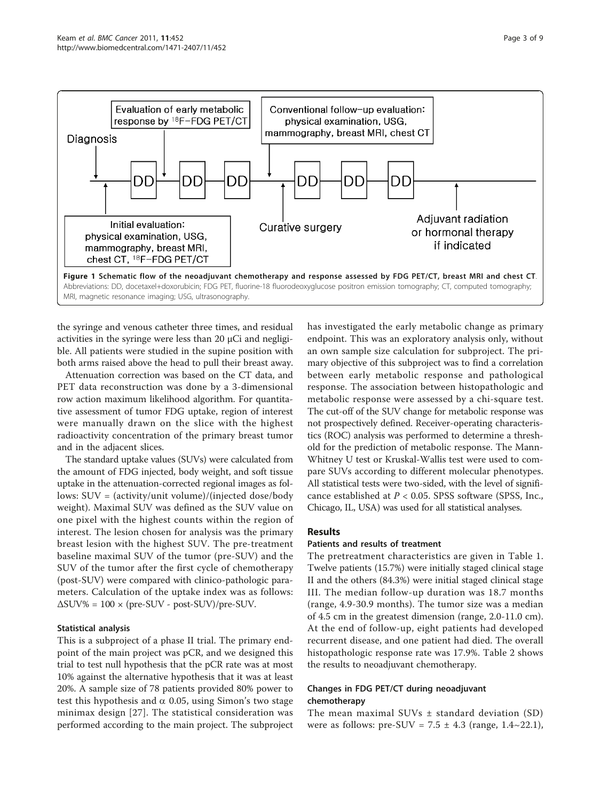<span id="page-2-0"></span>

the syringe and venous catheter three times, and residual activities in the syringe were less than 20 μCi and negligible. All patients were studied in the supine position with both arms raised above the head to pull their breast away.

Attenuation correction was based on the CT data, and PET data reconstruction was done by a 3-dimensional row action maximum likelihood algorithm. For quantitative assessment of tumor FDG uptake, region of interest were manually drawn on the slice with the highest radioactivity concentration of the primary breast tumor and in the adjacent slices.

The standard uptake values (SUVs) were calculated from the amount of FDG injected, body weight, and soft tissue uptake in the attenuation-corrected regional images as follows: SUV = (activity/unit volume)/(injected dose/body weight). Maximal SUV was defined as the SUV value on one pixel with the highest counts within the region of interest. The lesion chosen for analysis was the primary breast lesion with the highest SUV. The pre-treatment baseline maximal SUV of the tumor (pre-SUV) and the SUV of the tumor after the first cycle of chemotherapy (post-SUV) were compared with clinico-pathologic parameters. Calculation of the uptake index was as follows:  $\Delta$ SUV% = 100 × (pre-SUV - post-SUV)/pre-SUV.

# Statistical analysis

This is a subproject of a phase II trial. The primary endpoint of the main project was pCR, and we designed this trial to test null hypothesis that the pCR rate was at most 10% against the alternative hypothesis that it was at least 20%. A sample size of 78 patients provided 80% power to test this hypothesis and  $\alpha$  0.05, using Simon's two stage minimax design [\[27\]](#page-8-0). The statistical consideration was performed according to the main project. The subproject has investigated the early metabolic change as primary endpoint. This was an exploratory analysis only, without an own sample size calculation for subproject. The primary objective of this subproject was to find a correlation between early metabolic response and pathological response. The association between histopathologic and metabolic response were assessed by a chi-square test. The cut-off of the SUV change for metabolic response was not prospectively defined. Receiver-operating characteristics (ROC) analysis was performed to determine a threshold for the prediction of metabolic response. The Mann-Whitney U test or Kruskal-Wallis test were used to compare SUVs according to different molecular phenotypes. All statistical tests were two-sided, with the level of significance established at  $P < 0.05$ . SPSS software (SPSS, Inc., Chicago, IL, USA) was used for all statistical analyses.

# Results

#### Patients and results of treatment

The pretreatment characteristics are given in Table [1](#page-3-0). Twelve patients (15.7%) were initially staged clinical stage II and the others (84.3%) were initial staged clinical stage III. The median follow-up duration was 18.7 months (range, 4.9-30.9 months). The tumor size was a median of 4.5 cm in the greatest dimension (range, 2.0-11.0 cm). At the end of follow-up, eight patients had developed recurrent disease, and one patient had died. The overall histopathologic response rate was 17.9%. Table [2](#page-3-0) shows the results to neoadjuvant chemotherapy.

# Changes in FDG PET/CT during neoadjuvant chemotherapy

The mean maximal SUVs ± standard deviation (SD) were as follows: pre-SUV =  $7.5 \pm 4.3$  (range, 1.4~22.1),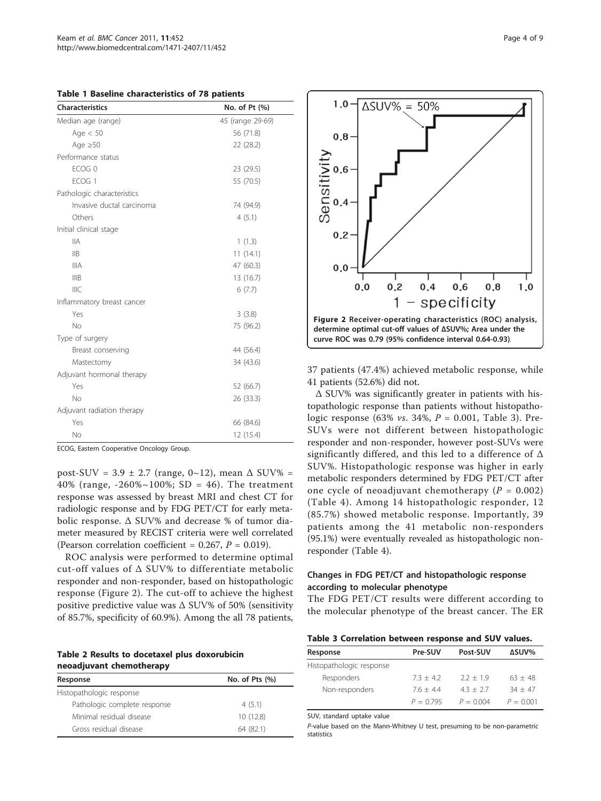<span id="page-3-0"></span>Table 1 Baseline characteristics of 78 patients

| Characteristics            | No. of Pt (%)    |
|----------------------------|------------------|
| Median age (range)         | 45 (range 29-69) |
| Age $< 50$                 | 56 (71.8)        |
| Age $\geq 50$              | 22 (28.2)        |
| Performance status         |                  |
| ECOG <sub>0</sub>          | 23 (29.5)        |
| ECOG <sub>1</sub>          | 55 (70.5)        |
| Pathologic characteristics |                  |
| Invasive ductal carcinoma  | 74 (94.9)        |
| Others                     | 4(5.1)           |
| Initial clinical stage     |                  |
| <b>IIA</b>                 | 1(1.3)           |
| $\mathsf{IIB}$             | 11(14.1)         |
| <b>IIIA</b>                | 47 (60.3)        |
| <b>IIIB</b>                | 13 (16.7)        |
| <b>IIIC</b>                | 6(7.7)           |
| Inflammatory breast cancer |                  |
| Yes                        | 3(3.8)           |
| No                         | 75 (96.2)        |
| Type of surgery            |                  |
| Breast conserving          | 44 (56.4)        |
| Mastectomy                 | 34 (43.6)        |
| Adjuvant hormonal therapy  |                  |
| Yes                        | 52 (66.7)        |
| Nο                         | 26 (33.3)        |
| Adjuvant radiation therapy |                  |
| Yes                        | 66 (84.6)        |
| No                         | 12 (15.4)        |

ECOG, Eastern Cooperative Oncology Group.

post-SUV =  $3.9 \pm 2.7$  (range,  $0 \sim 12$ ), mean  $\Delta$  SUV% = 40% (range,  $-260\% \sim 100\%$ ; SD = 46). The treatment response was assessed by breast MRI and chest CT for radiologic response and by FDG PET/CT for early metabolic response. Δ SUV% and decrease % of tumor diameter measured by RECIST criteria were well correlated (Pearson correlation coefficient =  $0.267$ ,  $P = 0.019$ ).

ROC analysis were performed to determine optimal cut-off values of Δ SUV% to differentiate metabolic responder and non-responder, based on histopathologic response (Figure 2). The cut-off to achieve the highest positive predictive value was  $\Delta$  SUV% of 50% (sensitivity of 85.7%, specificity of 60.9%). Among the all 78 patients,

Table 2 Results to docetaxel plus doxorubicin neoadjuvant chemotherapy

| Response                     | No. of Pts $(\%)$ |  |  |
|------------------------------|-------------------|--|--|
| Histopathologic response     |                   |  |  |
| Pathologic complete response | 4(5.1)            |  |  |
| Minimal residual disease     | 10(12.8)          |  |  |
| Gross residual disease       | 64 (82.1)         |  |  |



37 patients (47.4%) achieved metabolic response, while 41 patients (52.6%) did not.

Δ SUV% was significantly greater in patients with histopathologic response than patients without histopathologic response (63% *vs.* 34%,  $P = 0.001$ , Table 3). Pre-SUVs were not different between histopathologic responder and non-responder, however post-SUVs were significantly differed, and this led to a difference of Δ SUV%. Histopathologic response was higher in early metabolic responders determined by FDG PET/CT after one cycle of neoadjuvant chemotherapy ( $P = 0.002$ ) (Table [4\)](#page-4-0). Among 14 histopathologic responder, 12 (85.7%) showed metabolic response. Importantly, 39 patients among the 41 metabolic non-responders (95.1%) were eventually revealed as histopathologic nonresponder (Table [4\)](#page-4-0).

# Changes in FDG PET/CT and histopathologic response according to molecular phenotype

The FDG PET/CT results were different according to the molecular phenotype of the breast cancer. The ER

| Table 3 Correlation between response and SUV values. |
|------------------------------------------------------|
|------------------------------------------------------|

| Response                 | <b>Pre-SUV</b> | Post-SUV    | ΔSUV%       |
|--------------------------|----------------|-------------|-------------|
| Histopathologic response |                |             |             |
| Responders               | $7.3 + 4.2$    | $2.2 + 1.9$ | $63 + 48$   |
| Non-responders           | $7.6 + 4.4$    | $4.3 + 2.7$ | $34 + 47$   |
|                          | $P = 0.795$    | $P = 0.004$ | $P = 0.001$ |

SUV, standard uptake value

P-value based on the Mann-Whitney U test, presuming to be non-parametric statistics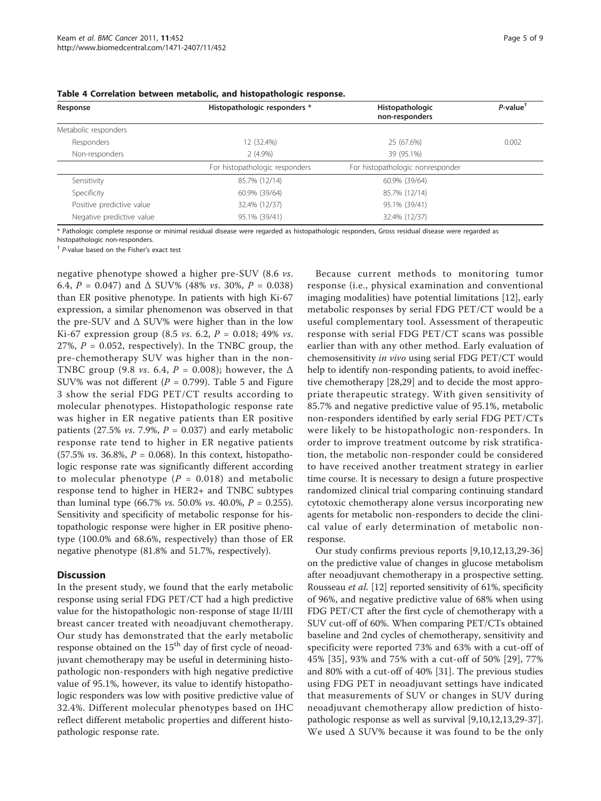| Response                  | Histopathologic responders *   | Histopathologic<br>non-responders | $P$ -value <sup>†</sup> |  |
|---------------------------|--------------------------------|-----------------------------------|-------------------------|--|
| Metabolic responders      |                                |                                   |                         |  |
| Responders                | 12 (32.4%)                     | 25 (67.6%)                        | 0.002                   |  |
| Non-responders            | $2(4.9\%)$                     | 39 (95.1%)                        |                         |  |
|                           | For histopathologic responders | For histopathologic nonresponder  |                         |  |
| Sensitivity               | 85.7% (12/14)                  | 60.9% (39/64)                     |                         |  |
| Specificity               | 60.9% (39/64)                  | 85.7% (12/14)                     |                         |  |
| Positive predictive value | 32.4% (12/37)                  | 95.1% (39/41)                     |                         |  |
| Negative predictive value | 95.1% (39/41)                  |                                   |                         |  |

<span id="page-4-0"></span>

|  |  |  |  | Table 4 Correlation between metabolic, and histopathologic response. |
|--|--|--|--|----------------------------------------------------------------------|
|--|--|--|--|----------------------------------------------------------------------|

\* Pathologic complete response or minimal residual disease were regarded as histopathologic responders, Gross residual disease were regarded as

histopathologic non-responders.

† P-value based on the Fisher's exact test

negative phenotype showed a higher pre-SUV (8.6 vs. 6.4,  $P = 0.047$ ) and  $\Delta$  SUV% (48% *vs.* 30%,  $P = 0.038$ ) than ER positive phenotype. In patients with high Ki-67 expression, a similar phenomenon was observed in that the pre-SUV and Δ SUV% were higher than in the low Ki-67 expression group (8.5 *vs.* 6.2,  $P = 0.018$ ; 49% *vs.* 27%,  $P = 0.052$ , respectively). In the TNBC group, the pre-chemotherapy SUV was higher than in the non-TNBC group (9.8 *vs.* 6.4,  $P = 0.008$ ); however, the  $\Delta$ SUV% was not different ( $P = 0.799$ ). Table [5](#page-5-0) and Figure [3](#page-6-0) show the serial FDG PET/CT results according to molecular phenotypes. Histopathologic response rate was higher in ER negative patients than ER positive patients (27.5% *vs.* 7.9%,  $P = 0.037$ ) and early metabolic response rate tend to higher in ER negative patients (57.5% *vs.* 36.8%,  $P = 0.068$ ). In this context, histopathologic response rate was significantly different according to molecular phenotype  $(P = 0.018)$  and metabolic response tend to higher in HER2+ and TNBC subtypes than luminal type (66.7% *vs.* 50.0% *vs.* 40.0%,  $P = 0.255$ ). Sensitivity and specificity of metabolic response for histopathologic response were higher in ER positive phenotype (100.0% and 68.6%, respectively) than those of ER negative phenotype (81.8% and 51.7%, respectively).

#### **Discussion**

In the present study, we found that the early metabolic response using serial FDG PET/CT had a high predictive value for the histopathologic non-response of stage II/III breast cancer treated with neoadjuvant chemotherapy. Our study has demonstrated that the early metabolic response obtained on the  $15<sup>th</sup>$  day of first cycle of neoadjuvant chemotherapy may be useful in determining histopathologic non-responders with high negative predictive value of 95.1%, however, its value to identify histopathologic responders was low with positive predictive value of 32.4%. Different molecular phenotypes based on IHC reflect different metabolic properties and different histopathologic response rate.

Because current methods to monitoring tumor response (i.e., physical examination and conventional imaging modalities) have potential limitations [[12\]](#page-7-0), early metabolic responses by serial FDG PET/CT would be a useful complementary tool. Assessment of therapeutic response with serial FDG PET/CT scans was possible earlier than with any other method. Early evaluation of chemosensitivity in vivo using serial FDG PET/CT would help to identify non-responding patients, to avoid ineffective chemotherapy [\[28,29](#page-8-0)] and to decide the most appropriate therapeutic strategy. With given sensitivity of 85.7% and negative predictive value of 95.1%, metabolic non-responders identified by early serial FDG PET/CTs were likely to be histopathologic non-responders. In order to improve treatment outcome by risk stratification, the metabolic non-responder could be considered to have received another treatment strategy in earlier time course. It is necessary to design a future prospective randomized clinical trial comparing continuing standard cytotoxic chemotherapy alone versus incorporating new agents for metabolic non-responders to decide the clinical value of early determination of metabolic nonresponse.

Our study confirms previous reports [[9,10,12,13,](#page-7-0)[29-36](#page-8-0)] on the predictive value of changes in glucose metabolism after neoadjuvant chemotherapy in a prospective setting. Rousseau et al. [\[12\]](#page-7-0) reported sensitivity of 61%, specificity of 96%, and negative predictive value of 68% when using FDG PET/CT after the first cycle of chemotherapy with a SUV cut-off of 60%. When comparing PET/CTs obtained baseline and 2nd cycles of chemotherapy, sensitivity and specificity were reported 73% and 63% with a cut-off of 45% [\[35\]](#page-8-0), 93% and 75% with a cut-off of 50% [[29\]](#page-8-0), 77% and 80% with a cut-off of 40% [[31\]](#page-8-0). The previous studies using FDG PET in neoadjuvant settings have indicated that measurements of SUV or changes in SUV during neoadjuvant chemotherapy allow prediction of histopathologic response as well as survival [\[9,10,12,13,](#page-7-0)[29-37](#page-8-0)]. We used Δ SUV% because it was found to be the only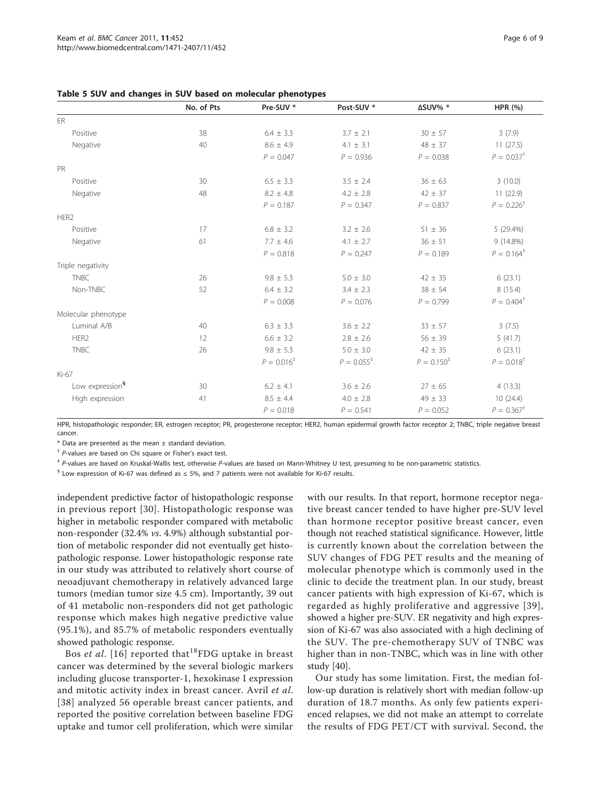|                             | No. of Pts | Pre-SUV *       | Post-SUV *      | ΔSUV% *         | <b>HPR</b> (%)           |
|-----------------------------|------------|-----------------|-----------------|-----------------|--------------------------|
| <b>FR</b>                   |            |                 |                 |                 |                          |
| Positive                    | 38         | $6.4 \pm 3.3$   | $3.7 \pm 2.1$   | $30 \pm 57$     | 3(7.9)                   |
| Negative                    | 40         | $8.6 \pm 4.9$   | $4.1 \pm 3.1$   | $48 \pm 37$     | 11(27.5)                 |
|                             |            | $P = 0.047$     | $P = 0.936$     | $P = 0.038$     | $P = 0.037$ <sup>+</sup> |
| PR                          |            |                 |                 |                 |                          |
| Positive                    | 30         | $6.5 \pm 3.3$   | $3.5 \pm 2.4$   | $36 \pm 63$     | 3(10.0)                  |
| Negative                    | 48         | $8.2 \pm 4.8$   | $4.2 \pm 2.8$   | $42 \pm 37$     | 11(22.9)                 |
|                             |            | $P = 0.187$     | $P = 0.347$     | $P = 0.837$     | $P = 0.226^{+}$          |
| HER <sub>2</sub>            |            |                 |                 |                 |                          |
| Positive                    | 17         | $6.8 \pm 3.2$   | $3.2 \pm 2.6$   | $51 \pm 36$     | 5 (29.4%)                |
| Negative                    | 61         | $7.7 \pm 4.6$   | $4.1 \pm 2.7$   | $36 \pm 51$     | 9 (14.8%)                |
|                             |            | $P = 0.818$     | $P = 0.247$     | $P = 0.189$     | $P = 0.164^{\dagger}$    |
| Triple negativity           |            |                 |                 |                 |                          |
| <b>TNBC</b>                 | 26         | $9.8 \pm 5.3$   | $5.0 \pm 3.0$   | $42 \pm 35$     | 6(23.1)                  |
| Non-TNBC                    | 52         | $6.4 \pm 3.2$   | $3.4 \pm 2.3$   | $38 \pm 54$     | 8 (15.4)                 |
|                             |            | $P = 0.008$     | $P = 0.076$     | $P = 0.799$     | $P = 0.404^{\dagger}$    |
| Molecular phenotype         |            |                 |                 |                 |                          |
| Luminal A/B                 | 40         | $6.3 \pm 3.3$   | $3.6 \pm 2.2$   | $33 \pm 57$     | 3(7.5)                   |
| HER <sub>2</sub>            | 12         | $6.6 \pm 3.2$   | $2.8 \pm 2.6$   | $56 \pm 39$     | 5(41.7)                  |
| <b>TNBC</b>                 | 26         | $9.8 \pm 5.3$   | $5.0 \pm 3.0$   | $42 \pm 35$     | 6(23.1)                  |
|                             |            | $P = 0.016^{+}$ | $P = 0.055^{+}$ | $P = 0.150^{+}$ | $P = 0.018^{+}$          |
| Ki-67                       |            |                 |                 |                 |                          |
| Low expression <sup>§</sup> | 30         | $6.2 \pm 4.1$   | $3.6 \pm 2.6$   | $27 \pm 65$     | 4(13.3)                  |
| High expression             | 41         | $8.5 \pm 4.4$   | $4.0 \pm 2.8$   | $49 \pm 33$     | 10(24.4)                 |
|                             |            | $P = 0.018$     | $P = 0.541$     | $P = 0.052$     | $P = 0.367^+$            |

<span id="page-5-0"></span>Table 5 SUV and changes in SUV based on molecular phenotypes

HPR, histopathologic responder; ER, estrogen receptor; PR, progesterone receptor; HER2, human epidermal growth factor receptor 2; TNBC, triple negative breast cancer.

 $*$  Data are presented as the mean  $\pm$  standard deviation.

† P-values are based on Chi square or Fisher's exact test.

‡ P-values are based on Kruskal-Wallis test, otherwise P-values are based on Mann-Whitney U test, presuming to be non-parametric statistics.

 $\frac{6}{3}$  Low expression of Ki-67 was defined as  $\leq$  5%, and 7 patients were not available for Ki-67 results.

independent predictive factor of histopathologic response in previous report [[30](#page-8-0)]. Histopathologic response was higher in metabolic responder compared with metabolic non-responder (32.4% vs. 4.9%) although substantial portion of metabolic responder did not eventually get histopathologic response. Lower histopathologic response rate in our study was attributed to relatively short course of neoadjuvant chemotherapy in relatively advanced large tumors (median tumor size 4.5 cm). Importantly, 39 out of 41 metabolic non-responders did not get pathologic response which makes high negative predictive value (95.1%), and 85.7% of metabolic responders eventually showed pathologic response.

Bos et al. [[16](#page-8-0)] reported that<sup>18</sup>FDG uptake in breast cancer was determined by the several biologic markers including glucose transporter-1, hexokinase I expression and mitotic activity index in breast cancer. Avril et al. [[38\]](#page-8-0) analyzed 56 operable breast cancer patients, and reported the positive correlation between baseline FDG uptake and tumor cell proliferation, which were similar with our results. In that report, hormone receptor negative breast cancer tended to have higher pre-SUV level than hormone receptor positive breast cancer, even though not reached statistical significance. However, little is currently known about the correlation between the SUV changes of FDG PET results and the meaning of molecular phenotype which is commonly used in the clinic to decide the treatment plan. In our study, breast cancer patients with high expression of Ki-67, which is regarded as highly proliferative and aggressive [[39\]](#page-8-0), showed a higher pre-SUV. ER negativity and high expression of Ki-67 was also associated with a high declining of the SUV. The pre-chemotherapy SUV of TNBC was higher than in non-TNBC, which was in line with other study [\[40](#page-8-0)].

Our study has some limitation. First, the median follow-up duration is relatively short with median follow-up duration of 18.7 months. As only few patients experienced relapses, we did not make an attempt to correlate the results of FDG PET/CT with survival. Second, the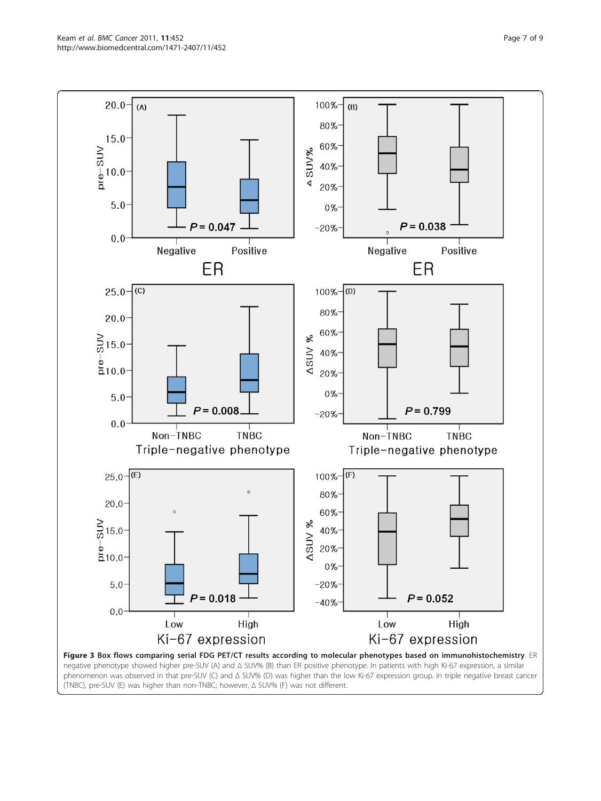<span id="page-6-0"></span>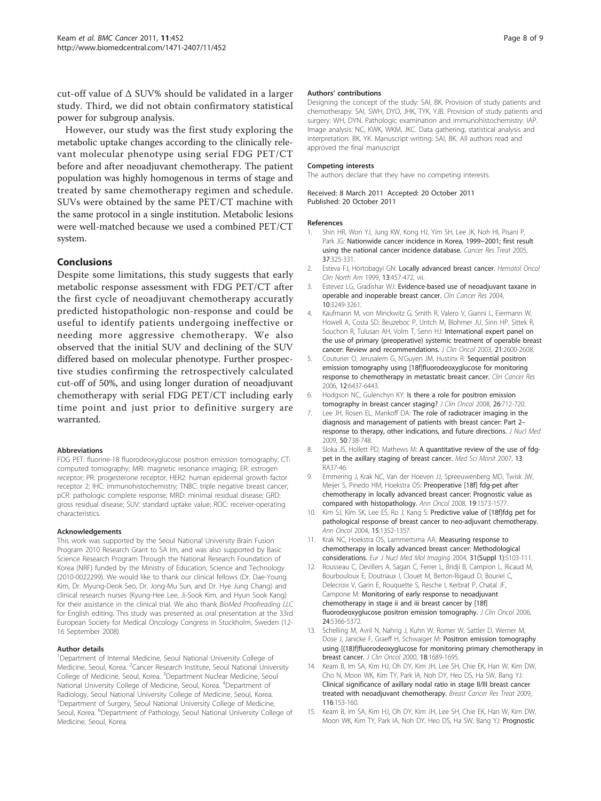<span id="page-7-0"></span>cut-off value of Δ SUV% should be validated in a larger study. Third, we did not obtain confirmatory statistical power for subgroup analysis.

However, our study was the first study exploring the metabolic uptake changes according to the clinically relevant molecular phenotype using serial FDG PET/CT before and after neoadjuvant chemotherapy. The patient population was highly homogenous in terms of stage and treated by same chemotherapy regimen and schedule. SUVs were obtained by the same PET/CT machine with the same protocol in a single institution. Metabolic lesions were well-matched because we used a combined PET/CT system.

## Conclusions

Despite some limitations, this study suggests that early metabolic response assessment with FDG PET/CT after the first cycle of neoadjuvant chemotherapy accuratly predicted histopathologic non-response and could be useful to identify patients undergoing ineffective or needing more aggressive chemotherapy. We also observed that the initial SUV and declining of the SUV differed based on molecular phenotype. Further prospective studies confirming the retrospectively calculated cut-off of 50%, and using longer duration of neoadjuvant chemotherapy with serial FDG PET/CT including early time point and just prior to definitive surgery are warranted.

#### Abbreviations

FDG PET: fluorine-18 fluorodeoxyglucose positron emission tomography; CT: computed tomography; MRI: magnetic resonance imaging; ER: estrogen receptor; PR: progesterone receptor; HER2: human epidermal growth factor receptor 2; IHC: immunohistochemistry; TNBC: triple negative breast cancer; pCR: pathologic complete response; MRD: minimal residual disease; GRD: gross residual disease; SUV: standard uptake value; ROC: receiver-operating characteristics.

#### Acknowledgements

This work was supported by the Seoul National University Brain Fusion Program 2010 Research Grant to SA Im, and was also supported by Basic Science Research Program Through the National Research Foundation of Korea (NRF) funded by the Ministry of Education, Science and Technology (2010-0022299). We would like to thank our clinical fellows (Dr. Dae-Young Kim, Dr. Myung-Deok Seo, Dr. Jong-Mu Sun, and Dr. Hye Jung Chang) and clinical research nurses (Kyung-Hee Lee, Ji-Sook Kim, and Hyun Sook Kang) for their assistance in the clinical trial. We also thank BioMed Proofreading LLC for English editing. This study was presented as oral presentation at the 33rd European Society for Medical Oncology Congress in Stockholm, Sweden (12- 16 September 2008).

#### Author details

<sup>1</sup>Department of Internal Medicine, Seoul National University College of Medicine, Seoul, Korea. <sup>2</sup> Cancer Research Institute, Seoul National University College of Medicine, Seoul, Korea. <sup>3</sup>Department Nuclear Medicine, Seoul National University College of Medicine, Seoul, Korea. <sup>4</sup>Department of Radiology, Seoul National University College of Medicine, Seoul, Korea. 5 Department of Surgery, Seoul National University College of Medicine, Seoul, Korea. <sup>6</sup>Department of Pathology, Seoul National University College of Medicine, Seoul, Korea.

#### Authors' contributions

Designing the concept of the study: SAI, BK. Provision of study patients and chemotherapy: SAI, SWH, DYO, JHK, TYK, YJB. Provision of study patients and surgery: WH, DYN. Pathologic examination and immunohistochemistry: IAP. Image analysis: NC, KWK, WKM, JKC. Data gathering, statistical analysis and interpretation: BK, YK. Manuscript writing: SAI, BK. All authors read and approved the final manuscript

#### Competing interests

The authors declare that they have no competing interests.

Received: 8 March 2011 Accepted: 20 October 2011 Published: 20 October 2011

#### References

- Shin HR, Won YJ, Jung KW, Kong HJ, Yim SH, Lee JK, Noh HI, Pisani P, Park JG: [Nationwide cancer incidence in Korea, 1999~2001; first result](http://www.ncbi.nlm.nih.gov/pubmed/19956367?dopt=Abstract) [using the national cancer incidence database.](http://www.ncbi.nlm.nih.gov/pubmed/19956367?dopt=Abstract) Cancer Res Treat 2005, 37:325-331.
- 2. Esteva FJ, Hortobagyi GN: [Locally advanced breast cancer.](http://www.ncbi.nlm.nih.gov/pubmed/10363140?dopt=Abstract) Hematol Oncol Clin North Am 1999, 13:457-472, vii.
- 3. Estevez LG, Gradishar WJ: [Evidence-based use of neoadjuvant taxane in](http://www.ncbi.nlm.nih.gov/pubmed/15161677?dopt=Abstract) [operable and inoperable breast cancer.](http://www.ncbi.nlm.nih.gov/pubmed/15161677?dopt=Abstract) Clin Cancer Res 2004, 10:3249-3261.
- 4. Kaufmann M, von Minckwitz G, Smith R, Valero V, Gianni L, Eiermann W, Howell A, Costa SD, Beuzeboc P, Untch M, Blohmer JU, Sinn HP, Sittek R, Souchon R, Tulusan AH, Volm T, Senn HJ: [International expert panel on](http://www.ncbi.nlm.nih.gov/pubmed/12829681?dopt=Abstract) [the use of primary \(preoperative\) systemic treatment of operable breast](http://www.ncbi.nlm.nih.gov/pubmed/12829681?dopt=Abstract) [cancer: Review and recommendations.](http://www.ncbi.nlm.nih.gov/pubmed/12829681?dopt=Abstract) J Clin Oncol 2003, 21:2600-2608.
- 5. Couturier O, Jerusalem G, N'Guyen JM, Hustinx R: [Sequential positron](http://www.ncbi.nlm.nih.gov/pubmed/17085657?dopt=Abstract) [emission tomography using \[18f\]fluorodeoxyglucose for monitoring](http://www.ncbi.nlm.nih.gov/pubmed/17085657?dopt=Abstract) [response to chemotherapy in metastatic breast cancer.](http://www.ncbi.nlm.nih.gov/pubmed/17085657?dopt=Abstract) Clin Cancer Res 2006, 12:6437-6443.
- 6. Hodgson NC, Gulenchyn KY: [Is there a role for positron emission](http://www.ncbi.nlm.nih.gov/pubmed/18258978?dopt=Abstract) [tomography in breast cancer staging?](http://www.ncbi.nlm.nih.gov/pubmed/18258978?dopt=Abstract) J Clin Oncol 2008, 26:712-720.
- 7. Lee JH, Rosen EL, Mankoff DA: [The role of radiotracer imaging in the](http://www.ncbi.nlm.nih.gov/pubmed/19372493?dopt=Abstract) [diagnosis and management of patients with breast cancer: Part 2](http://www.ncbi.nlm.nih.gov/pubmed/19372493?dopt=Abstract)– [response to therapy, other indications, and future directions.](http://www.ncbi.nlm.nih.gov/pubmed/19372493?dopt=Abstract) J Nucl Med 2009, 50:738-748.
- 8. Sloka JS, Hollett PD, Mathews M: [A quantitative review of the use of fdg](http://www.ncbi.nlm.nih.gov/pubmed/17325645?dopt=Abstract)[pet in the axillary staging of breast cancer.](http://www.ncbi.nlm.nih.gov/pubmed/17325645?dopt=Abstract) Med Sci Monit 2007, 13: RA37-46.
- 9. Emmering J, Krak NC, Van der Hoeven JJ, Spreeuwenberg MD, Twisk JW, Meijer S, Pinedo HM, Hoekstra OS: [Preoperative \[18f\] fdg-pet after](http://www.ncbi.nlm.nih.gov/pubmed/18552360?dopt=Abstract) [chemotherapy in locally advanced breast cancer: Prognostic value as](http://www.ncbi.nlm.nih.gov/pubmed/18552360?dopt=Abstract) [compared with histopathology.](http://www.ncbi.nlm.nih.gov/pubmed/18552360?dopt=Abstract) Ann Oncol 2008, 19:1573-1577.
- 10. Kim SJ, Kim SK, Lee ES, Ro J, Kang S: [Predictive value of \[18f\]fdg pet for](http://www.ncbi.nlm.nih.gov/pubmed/15319241?dopt=Abstract) [pathological response of breast cancer to neo-adjuvant chemotherapy.](http://www.ncbi.nlm.nih.gov/pubmed/15319241?dopt=Abstract) Ann Oncol 2004, 15:1352-1357.
- 11. Krak NC, Hoekstra OS, Lammertsma AA: [Measuring response to](http://www.ncbi.nlm.nih.gov/pubmed/15103507?dopt=Abstract) [chemotherapy in locally advanced breast cancer: Methodological](http://www.ncbi.nlm.nih.gov/pubmed/15103507?dopt=Abstract) [considerations.](http://www.ncbi.nlm.nih.gov/pubmed/15103507?dopt=Abstract) Eur J Nucl Med Mol Imaging 2004, 31(Suppl 1):S103-111.
- 12. Rousseau C, Devillers A, Sagan C, Ferrer L, Bridji B, Campion L, Ricaud M, Bourbouloux E, Doutriaux I, Clouet M, Berton-Rigaud D, Bouriel C, Delecroix V, Garin E, Rouquette S, Resche I, Kerbrat P, Chatal JF, Campone M: [Monitoring of early response to neoadjuvant](http://www.ncbi.nlm.nih.gov/pubmed/17088570?dopt=Abstract) [chemotherapy in stage ii and iii breast cancer by \[18f\]](http://www.ncbi.nlm.nih.gov/pubmed/17088570?dopt=Abstract) [fluorodeoxyglucose positron emission tomography.](http://www.ncbi.nlm.nih.gov/pubmed/17088570?dopt=Abstract) J Clin Oncol 2006, 24:5366-5372.
- 13. Schelling M, Avril N, Nahrig J, Kuhn W, Romer W, Sattler D, Werner M, Dose J, Janicke F, Graeff H, Schwaiger M: [Positron emission tomography](http://www.ncbi.nlm.nih.gov/pubmed/10764429?dopt=Abstract) [using \[\(18\)f\]fluorodeoxyglucose for monitoring primary chemotherapy in](http://www.ncbi.nlm.nih.gov/pubmed/10764429?dopt=Abstract) [breast cancer.](http://www.ncbi.nlm.nih.gov/pubmed/10764429?dopt=Abstract) J Clin Oncol 2000, 18:1689-1695.
- Keam B, Im SA, Kim HJ, Oh DY, Kim JH, Lee SH, Chie EK, Han W, Kim DW, Cho N, Moon WK, Kim TY, Park IA, Noh DY, Heo DS, Ha SW, Bang YJ: [Clinical significance of axillary nodal ratio in stage II/III breast cancer](http://www.ncbi.nlm.nih.gov/pubmed/18787948?dopt=Abstract) [treated with neoadjuvant chemotherapy.](http://www.ncbi.nlm.nih.gov/pubmed/18787948?dopt=Abstract) Breast Cancer Res Treat 2009, 116:153-160.
- 15. Keam B, Im SA, Kim HJ, Oh DY, Kim JH, Lee SH, Chie EK, Han W, Kim DW, Moon WK, Kim TY, Park IA, Noh DY, Heo DS, Ha SW, Bang YJ: [Prognostic](http://www.ncbi.nlm.nih.gov/pubmed/17976237?dopt=Abstract)